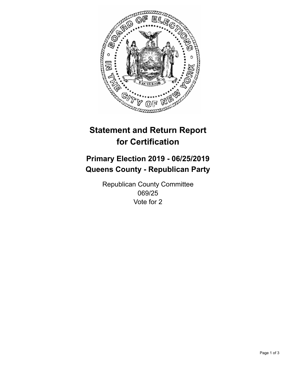

## **Statement and Return Report for Certification**

## **Primary Election 2019 - 06/25/2019 Queens County - Republican Party**

Republican County Committee 069/25 Vote for 2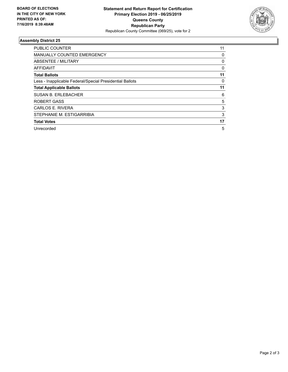

## **Assembly District 25**

| <b>PUBLIC COUNTER</b>                                    | 11       |
|----------------------------------------------------------|----------|
| <b>MANUALLY COUNTED EMERGENCY</b>                        | 0        |
| ABSENTEE / MILITARY                                      | 0        |
| AFFIDAVIT                                                | $\Omega$ |
| <b>Total Ballots</b>                                     | 11       |
| Less - Inapplicable Federal/Special Presidential Ballots | 0        |
| <b>Total Applicable Ballots</b>                          | 11       |
| <b>SUSAN B. ERLEBACHER</b>                               | 6        |
| <b>ROBERT GASS</b>                                       | 5        |
| CARLOS E. RIVERA                                         | 3        |
| STEPHANIE M. ESTIGARRIBIA                                | 3        |
| <b>Total Votes</b>                                       | 17       |
| Unrecorded                                               | 5        |